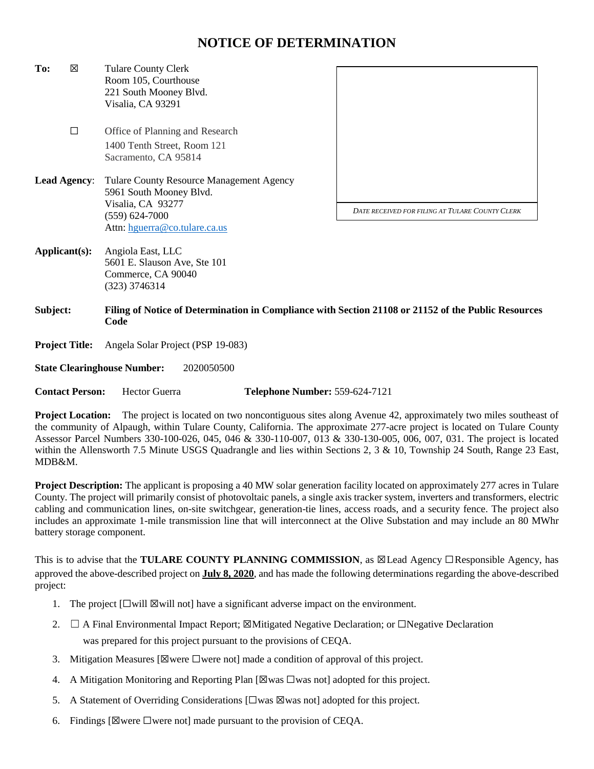## **NOTICE OF DETERMINATION**

**To:** ☒ Tulare County Clerk Room 105, Courthouse 221 South Mooney Blvd. Visalia, CA 93291 ☐ Office of Planning and Research 1400 Tenth Street, Room 121 Sacramento, CA 95814 **Lead Agency**: Tulare County Resource Management Agency 5961 South Mooney Blvd. Visalia, CA 93277 (559) 624-7000 Attn: [hguerra@co.tulare.ca.us](mailto:hguerra@co.tulare.ca.us) **Applicant(s):** Angiola East, LLC 5601 E. Slauson Ave, Ste 101 Commerce, CA 90040 (323) 3746314 **Subject: Filing of Notice of Determination in Compliance with Section 21108 or 21152 of the Public Resources Code Project Title:** Angela Solar Project (PSP 19-083) **State Clearinghouse Number:** 2020050500 **Contact Person:** Hector Guerra **Telephone Number:** 559-624-7121 *DATE RECEIVED FOR FILING AT TULARE COUNTY CLERK*

**Project Location:** The project is located on two noncontiguous sites along Avenue 42, approximately two miles southeast of the community of Alpaugh, within Tulare County, California. The approximate 277-acre project is located on Tulare County Assessor Parcel Numbers 330-100-026, 045, 046 & 330-110-007, 013 & 330-130-005, 006, 007, 031. The project is located within the Allensworth 7.5 Minute USGS Quadrangle and lies within Sections 2, 3 & 10, Township 24 South, Range 23 East, MDB&M.

**Project Description:** The applicant is proposing a 40 MW solar generation facility located on approximately 277 acres in Tulare County. The project will primarily consist of photovoltaic panels, a single axis tracker system, inverters and transformers, electric cabling and communication lines, on-site switchgear, generation-tie lines, access roads, and a security fence. The project also includes an approximate 1-mile transmission line that will interconnect at the Olive Substation and may include an 80 MWhr battery storage component.

This is to advise that the **TULARE COUNTY PLANNING COMMISSION**, as ⊠Lead Agency □Responsible Agency, has approved the above-described project on **July 8, 2020**, and has made the following determinations regarding the above-described project:

- 1. The project  $[\Box$  will  $\boxtimes$  will not] have a significant adverse impact on the environment.
- 2. ☐ A Final Environmental Impact Report; ☒Mitigated Negative Declaration; or ☐Negative Declaration was prepared for this project pursuant to the provisions of CEQA.
- 3. Mitigation Measures [ $\boxtimes$  were  $\Box$  were not] made a condition of approval of this project.
- 4. A Mitigation Monitoring and Reporting Plan  $[\boxtimes$ was  $\square$ was not] adopted for this project.
- 5. A Statement of Overriding Considerations  $[\Box$ was  $\boxtimes$ was not] adopted for this project.
- 6. Findings [ $\boxtimes$  were  $\Box$  were not] made pursuant to the provision of CEQA.